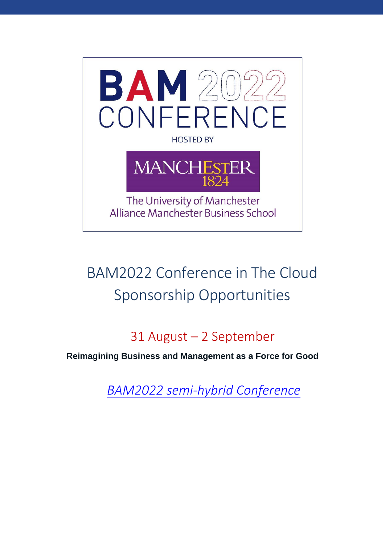

# BAM2022 Conference in The Cloud Sponsorship Opportunities

## 31 August – 2 September

**Reimagining Business and Management as a Force for Good**

*BAM2022 [semi-hybrid](https://www.bam.ac.uk/events-landing/conference.html) Conference*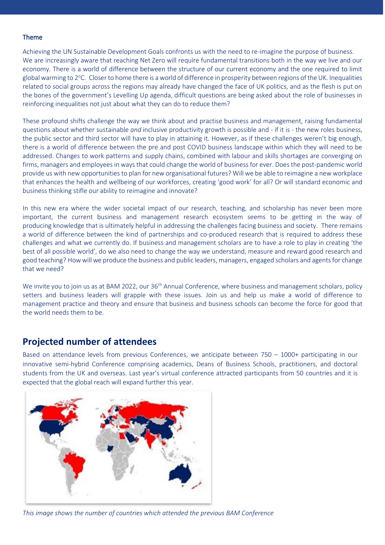#### Theme

Achieving the UN Sustainable Development Goals confronts us with the need to re-imagine the purpose of business. We are increasingly aware that reaching Net Zero will require fundamental transitions both in the way we live and our economy. There is a world of difference between the structure of our current economy and the one required to limit global warming to  $2^{\circ}$ C. Closer to home there is a world of difference in prosperity between regions of the UK. Inequalities related to social groups across the regions may already have changed the face of UK politics, and as the flesh is put on the bones of the government's Levelling Up agenda, difficult questions are being asked about the role of businesses in reinforcing inequalities not just about what they can do to reduce them?

These profound shifts challenge the way we think about and practise business and management, raising fundamental questions about whether sustainable *and* inclusive productivity growth is possible and - if it is - the new roles business, the public sector and third sector will have to play in attaining it. However, as if these challenges weren't big enough, there is a world of difference between the pre and post COVID business landscape within which they will need to be addressed. Changes to work patterns and supply chains, combined with labour and skills shortages are converging on firms, managers and employees in ways that could change the world of business for ever. Does the post-pandemic world provide us with new opportunities to plan for new organisational futures? Will we be able to reimagine a new workplace that enhances the health and wellbeing of our workforces, creating 'good work' for all? Or will standard economic and business thinking stifle our ability to reimagine and innovate?

In this new era where the wider societal impact of our research, teaching, and scholarship has never been more important, the current business and management research ecosystem seems to be getting in the way of producing knowledge that is ultimately helpful in addressing the challenges facing business and society. There remains a world of difference between the kind of partnerships and co-produced research that is required to address these challenges and what we currently do. If business and management scholars are to have a role to play in creating 'the best of all possible world', do we also need to change the way we understand, measure and reward good research and good teaching? How will we produce the business and public leaders, managers, engaged scholars and agents for change that we need?

We invite you to join us as at BAM 2022, our 36<sup>th</sup> Annual Conference, where business and management scholars, policy setters and business leaders will grapple with these issues. Join us and help us make a world of difference to management practice and theory and ensure that business and business schools can become the force for good that the world needs them to be.

#### **Projected number of attendees**

Based on attendance levels from previous Conferences, we anticipate between 750 – 1000+ participating in our innovative semi-hybrid Conference comprising academics, Deans of Business Schools, practitioners, and doctoral students from the UK and overseas. Last year's virtual conference attracted participants from 50 countries and it is expected that the global reach will expand further this year.



*This image shows the number of countries which attended the previous BAM Conference*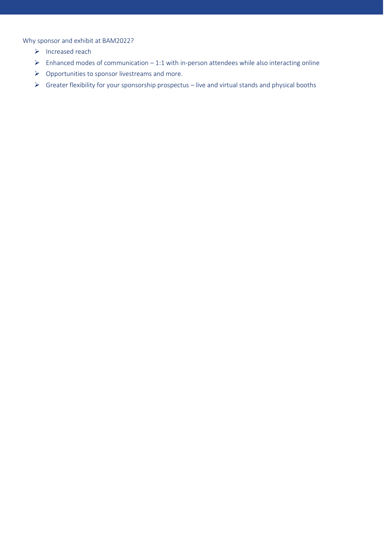Why sponsor and exhibit at BAM2022?

- ➢ Increased reach
- $\triangleright$  Enhanced modes of communication 1:1 with in-person attendees while also interacting online
- ➢ Opportunities to sponsor livestreams and more.
- ➢ Greater flexibility for your sponsorship prospectus live and virtual stands and physical booths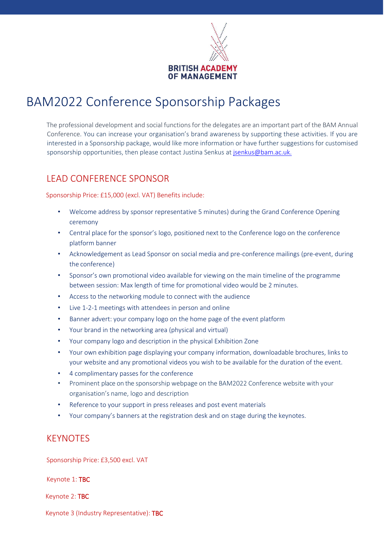

### BAM2022 Conference Sponsorship Packages

The professional development and social functions for the delegates are an important part of the BAM Annual Conference. You can increase your organisation's brand awareness by supporting these activities. If you are interested in a Sponsorship package, would like more information or have further suggestions for customised sponsorship opportunities, then please contact Justina Senkus a[t jsenkus@bam.ac.uk.](mailto:jsenkus@bam.ac.uk.)

### LEAD CONFERENCE SPONSOR

Sponsorship Price: £15,000 (excl. VAT) Benefits include:

- Welcome address by sponsor representative 5 minutes) during the Grand Conference Opening ceremony
- Central place for the sponsor's logo, positioned next to the Conference logo on the conference platform banner
- Acknowledgement as Lead Sponsor on social media and pre-conference mailings (pre-event, during the conference)
- Sponsor's own promotional video available for viewing on the main timeline of the programme between session: Max length of time for promotional video would be 2 minutes.
- Access to the networking module to connect with the audience
- Live 1-2-1 meetings with attendees in person and online
- Banner advert: your company logo on the home page of the event platform
- Your brand in the networking area (physical and virtual)
- Your company logo and description in the physical Exhibition Zone
- Your own exhibition page displaying your company information, downloadable brochures, links to your website and any promotional videos you wish to be available for the duration of the event.
- 4 complimentary passes for the conference
- Prominent place on the sponsorship webpage on the BAM2022 Conference website with your organisation's name, logo and description
- Reference to your support in press releases and post event materials
- Your company's banners at the registration desk and on stage during the keynotes.

#### **KFYNOTFS**

Sponsorship Price: £3,500 excl. VAT

Keynote 1: TBC

Keynote 2: TBC

Keynote 3 (Industry Representative): TBC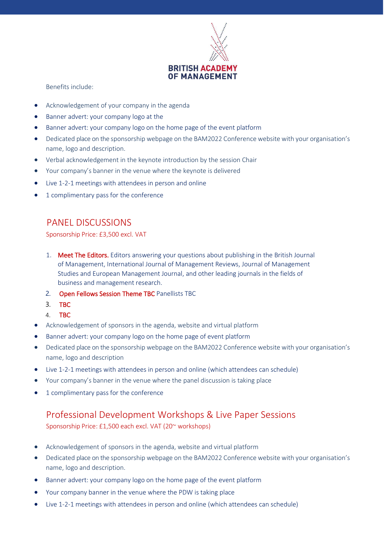

Benefits include:

- Acknowledgement of your company in the agenda
- Banner advert: your company logo at the
- Banner advert: your company logo on the home page of the event platform
- Dedicated place on the sponsorship webpage on the BAM2022 Conference website with your organisation's name, logo and description.
- Verbal acknowledgement in the keynote introduction by the session Chair
- Your company's banner in the venue where the keynote is delivered
- Live 1-2-1 meetings with attendees in person and online
- 1 complimentary pass for the conference

#### PANEL DISCUSSIONS

Sponsorship Price: £3,500 excl. VAT

- 1. Meet The Editors. Editors answering your questions about publishing in the British Journal of Management, International Journal of Management Reviews, Journal of Management Studies and European Management Journal, and other leading journals in the fields of business and management research.
- 2. Open Fellows Session Theme TBC Panellists TBC
- 3. TBC
- 4. TBC
- Acknowledgement of sponsors in the agenda, website and virtual platform
- Banner advert: your company logo on the home page of event platform
- Dedicated place on the sponsorship webpage on the BAM2022 Conference website with your organisation's name, logo and description
- Live 1-2-1 meetings with attendees in person and online (which attendees can schedule)
- Your company's banner in the venue where the panel discussion is taking place
- 1 complimentary pass for the conference

### Professional Development Workshops & Live Paper Sessions

Sponsorship Price: £1,500 each excl. VAT (20~ workshops)

- Acknowledgement of sponsors in the agenda, website and virtual platform
- Dedicated place on the sponsorship webpage on the BAM2022 Conference website with your organisation's name, logo and description.
- Banner advert: your company logo on the home page of the event platform
- Your company banner in the venue where the PDW is taking place
- Live 1-2-1 meetings with attendees in person and online (which attendees can schedule)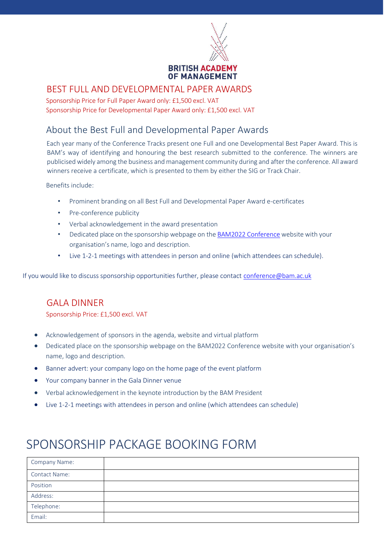

#### BEST FULL AND DEVELOPMENTAL PAPER AWARDS

Sponsorship Price for Full Paper Award only: £1,500 excl. VAT Sponsorship Price for Developmental Paper Award only: £1,500 excl. VAT

### About the Best Full and Developmental Paper Awards

Each year many of the Conference Tracks present one Full and one Developmental Best Paper Award. This is BAM's way of identifying and honouring the best research submitted to the conference. The winners are publicised widely among the business and management community during and after the conference. All award winners receive a certificate, which is presented to them by either the SIG or Track Chair.

Benefits include:

- Prominent branding on all Best Full and Developmental Paper Award e-certificates
- Pre-conference publicity
- Verbal acknowledgement in the award presentation
- Dedicated place on the sponsorship webpage on the BAM2022 [Conference](https://www.bam.ac.uk/events-landing/conference.html) website with your organisation's name, logo and description.
- Live 1-2-1 meetings with attendees in person and online (which attendees can schedule).

If you would like to discuss sponsorship opportunities further, please contact [conference@bam.ac.uk](mailto:conference@bam.ac.uk)

#### GALA DINNER

Sponsorship Price: £1,500 excl. VAT

- Acknowledgement of sponsors in the agenda, website and virtual platform
- Dedicated place on the sponsorship webpage on the BAM2022 Conference website with your organisation's name, logo and description.
- Banner advert: your company logo on the home page of the event platform
- Your company banner in the Gala Dinner venue
- Verbal acknowledgement in the keynote introduction by the BAM President
- Live 1-2-1 meetings with attendees in person and online (which attendees can schedule)

### SPONSORSHIP PACKAGE BOOKING FORM

| <b>Company Name:</b> |  |
|----------------------|--|
| <b>Contact Name:</b> |  |
| Position             |  |
| Address:             |  |
| Telephone:           |  |
| Email:               |  |